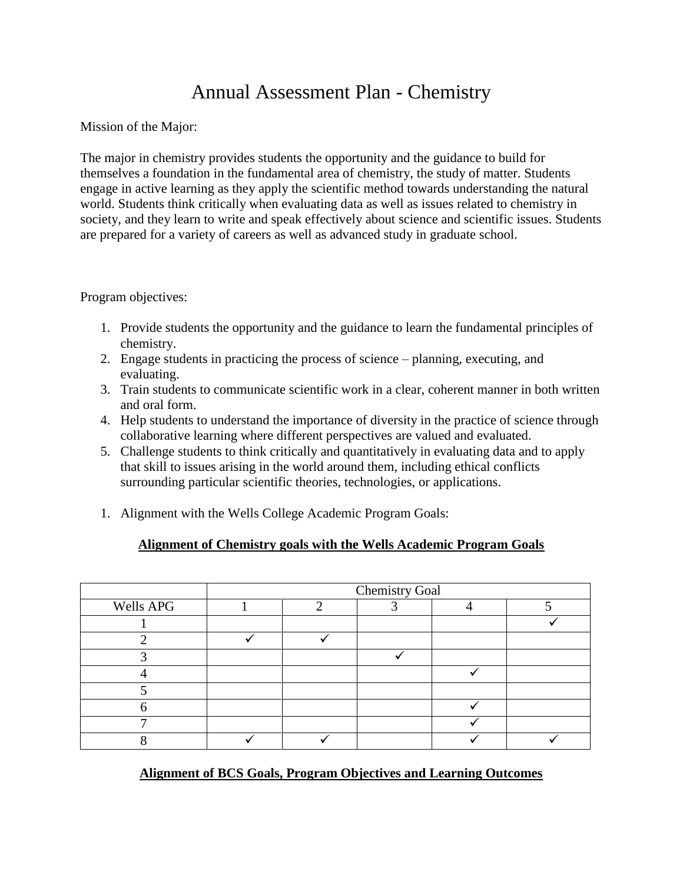# Annual Assessment Plan - Chemistry

Mission of the Major:

The major in chemistry provides students the opportunity and the guidance to build for themselves a foundation in the fundamental area of chemistry, the study of matter. Students engage in active learning as they apply the scientific method towards understanding the natural world. Students think critically when evaluating data as well as issues related to chemistry in society, and they learn to write and speak effectively about science and scientific issues. Students are prepared for a variety of careers as well as advanced study in graduate school.

Program objectives:

- 1. Provide students the opportunity and the guidance to learn the fundamental principles of chemistry.
- 2. Engage students in practicing the process of science planning, executing, and evaluating.
- 3. Train students to communicate scientific work in a clear, coherent manner in both written and oral form.
- 4. Help students to understand the importance of diversity in the practice of science through collaborative learning where different perspectives are valued and evaluated.
- 5. Challenge students to think critically and quantitatively in evaluating data and to apply that skill to issues arising in the world around them, including ethical conflicts surrounding particular scientific theories, technologies, or applications.
- 1. Alignment with the Wells College Academic Program Goals:

## **Alignment of Chemistry goals with the Wells Academic Program Goals**

|           | <b>Chemistry Goal</b> |  |  |  |  |
|-----------|-----------------------|--|--|--|--|
| Wells APG |                       |  |  |  |  |
|           |                       |  |  |  |  |
|           |                       |  |  |  |  |
|           |                       |  |  |  |  |
|           |                       |  |  |  |  |
|           |                       |  |  |  |  |
|           |                       |  |  |  |  |
|           |                       |  |  |  |  |
|           |                       |  |  |  |  |

**Alignment of BCS Goals, Program Objectives and Learning Outcomes**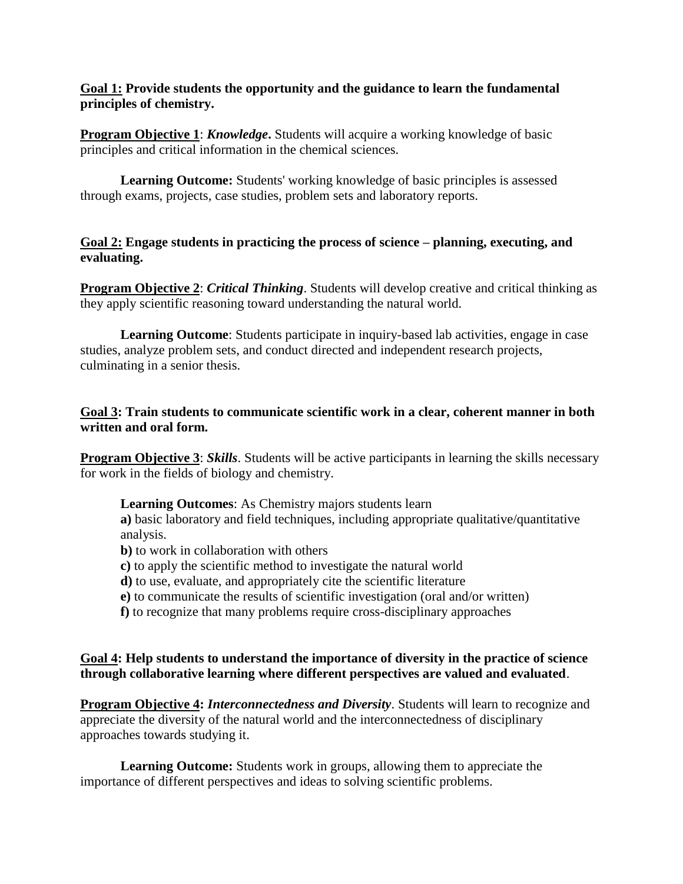#### **Goal 1: Provide students the opportunity and the guidance to learn the fundamental principles of chemistry.**

**Program Objective 1:** *Knowledge*. Students will acquire a working knowledge of basic principles and critical information in the chemical sciences.

**Learning Outcome:** Students' working knowledge of basic principles is assessed through exams, projects, case studies, problem sets and laboratory reports.

#### **Goal 2: Engage students in practicing the process of science – planning, executing, and evaluating.**

**Program Objective 2:** *Critical Thinking*. Students will develop creative and critical thinking as they apply scientific reasoning toward understanding the natural world.

**Learning Outcome**: Students participate in inquiry-based lab activities, engage in case studies, analyze problem sets, and conduct directed and independent research projects, culminating in a senior thesis.

## **Goal 3: Train students to communicate scientific work in a clear, coherent manner in both written and oral form.**

**Program Objective 3:** *Skills*. Students will be active participants in learning the skills necessary for work in the fields of biology and chemistry.

**Learning Outcomes**: As Chemistry majors students learn

**a)** basic laboratory and field techniques, including appropriate qualitative/quantitative analysis.

**b**) to work in collaboration with others

- **c)** to apply the scientific method to investigate the natural world
- **d)** to use, evaluate, and appropriately cite the scientific literature
- **e)** to communicate the results of scientific investigation (oral and/or written)
- **f)** to recognize that many problems require cross-disciplinary approaches

#### **Goal 4: Help students to understand the importance of diversity in the practice of science through collaborative learning where different perspectives are valued and evaluated**.

**Program Objective 4:** *Interconnectedness and Diversity*. Students will learn to recognize and appreciate the diversity of the natural world and the interconnectedness of disciplinary approaches towards studying it.

**Learning Outcome:** Students work in groups, allowing them to appreciate the importance of different perspectives and ideas to solving scientific problems.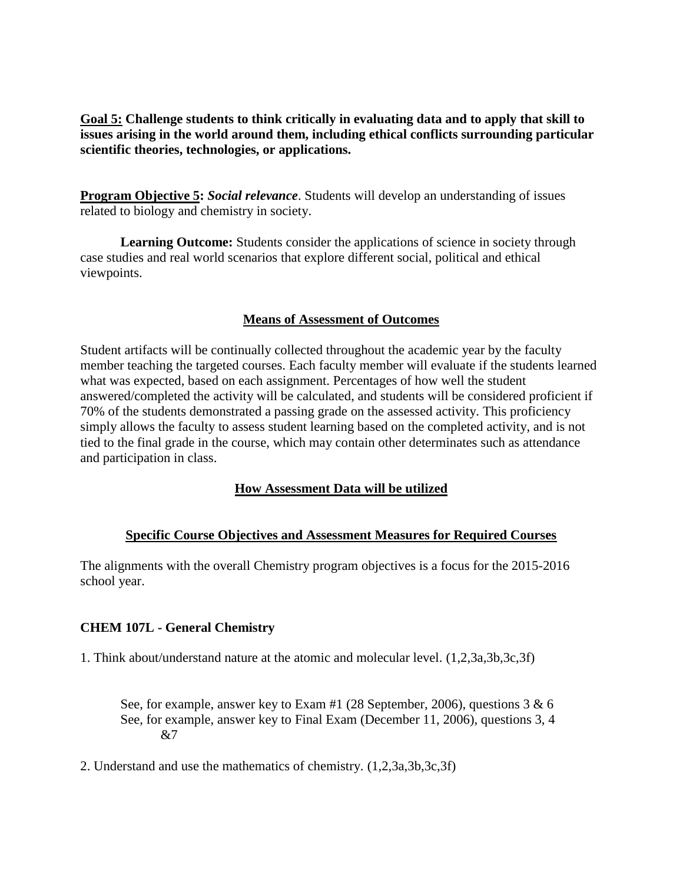**Goal 5: Challenge students to think critically in evaluating data and to apply that skill to issues arising in the world around them, including ethical conflicts surrounding particular scientific theories, technologies, or applications.**

**Program Objective 5:** *Social relevance*. Students will develop an understanding of issues related to biology and chemistry in society.

**Learning Outcome:** Students consider the applications of science in society through case studies and real world scenarios that explore different social, political and ethical viewpoints.

#### **Means of Assessment of Outcomes**

Student artifacts will be continually collected throughout the academic year by the faculty member teaching the targeted courses. Each faculty member will evaluate if the students learned what was expected, based on each assignment. Percentages of how well the student answered/completed the activity will be calculated, and students will be considered proficient if 70% of the students demonstrated a passing grade on the assessed activity. This proficiency simply allows the faculty to assess student learning based on the completed activity, and is not tied to the final grade in the course, which may contain other determinates such as attendance and participation in class.

## **How Assessment Data will be utilized**

## **Specific Course Objectives and Assessment Measures for Required Courses**

The alignments with the overall Chemistry program objectives is a focus for the 2015-2016 school year.

## **CHEM 107L - General Chemistry**

1. Think about/understand nature at the atomic and molecular level. (1,2,3a,3b,3c,3f)

See, for example, answer key to Exam #1 (28 September, 2006), questions 3 & 6 See, for example, answer key to Final Exam (December 11, 2006), questions 3, 4  $&7$ 

2. Understand and use the mathematics of chemistry. (1,2,3a,3b,3c,3f)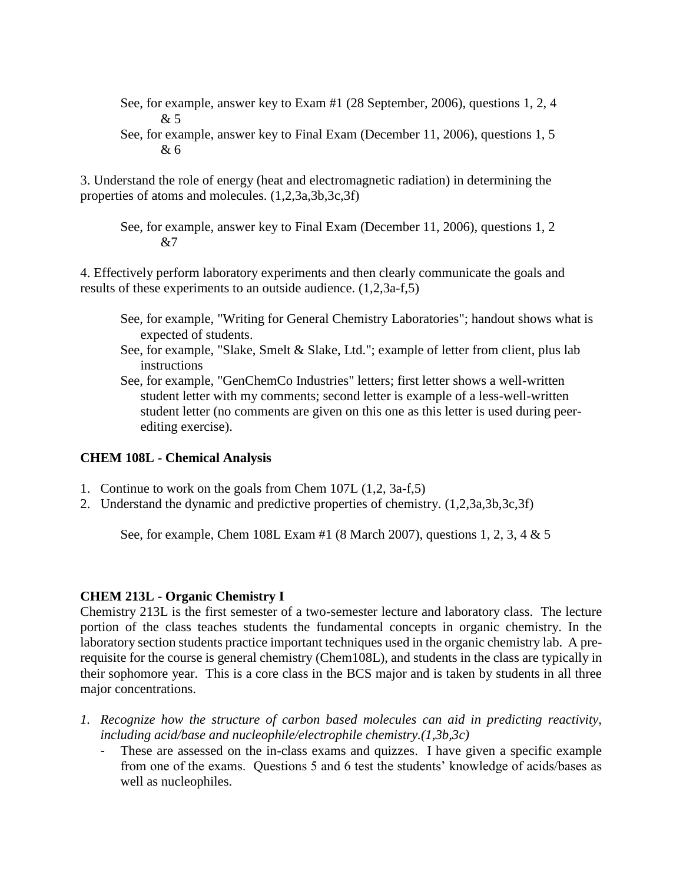- See, for example, answer key to Exam #1 (28 September, 2006), questions 1, 2, 4  $&5$
- See, for example, answer key to Final Exam (December 11, 2006), questions 1, 5 & 6

3. Understand the role of energy (heat and electromagnetic radiation) in determining the properties of atoms and molecules. (1,2,3a,3b,3c,3f)

See, for example, answer key to Final Exam (December 11, 2006), questions 1, 2  $&7$ 

4. Effectively perform laboratory experiments and then clearly communicate the goals and results of these experiments to an outside audience. (1,2,3a-f,5)

- See, for example, "Writing for General Chemistry Laboratories"; handout shows what is expected of students.
- See, for example, "Slake, Smelt & Slake, Ltd."; example of letter from client, plus lab instructions
- See, for example, "GenChemCo Industries" letters; first letter shows a well-written student letter with my comments; second letter is example of a less-well-written student letter (no comments are given on this one as this letter is used during peerediting exercise).

#### **CHEM 108L - Chemical Analysis**

- 1. Continue to work on the goals from Chem 107L (1,2, 3a-f,5)
- 2. Understand the dynamic and predictive properties of chemistry. (1,2,3a,3b,3c,3f)

See, for example, Chem 108L Exam #1 (8 March 2007), questions 1, 2, 3, 4 & 5

#### **CHEM 213L - Organic Chemistry I**

Chemistry 213L is the first semester of a two-semester lecture and laboratory class. The lecture portion of the class teaches students the fundamental concepts in organic chemistry. In the laboratory section students practice important techniques used in the organic chemistry lab. A prerequisite for the course is general chemistry (Chem108L), and students in the class are typically in their sophomore year. This is a core class in the BCS major and is taken by students in all three major concentrations.

- *1. Recognize how the structure of carbon based molecules can aid in predicting reactivity, including acid/base and nucleophile/electrophile chemistry.(1,3b,3c)*
	- These are assessed on the in-class exams and quizzes. I have given a specific example from one of the exams. Questions 5 and 6 test the students' knowledge of acids/bases as well as nucleophiles.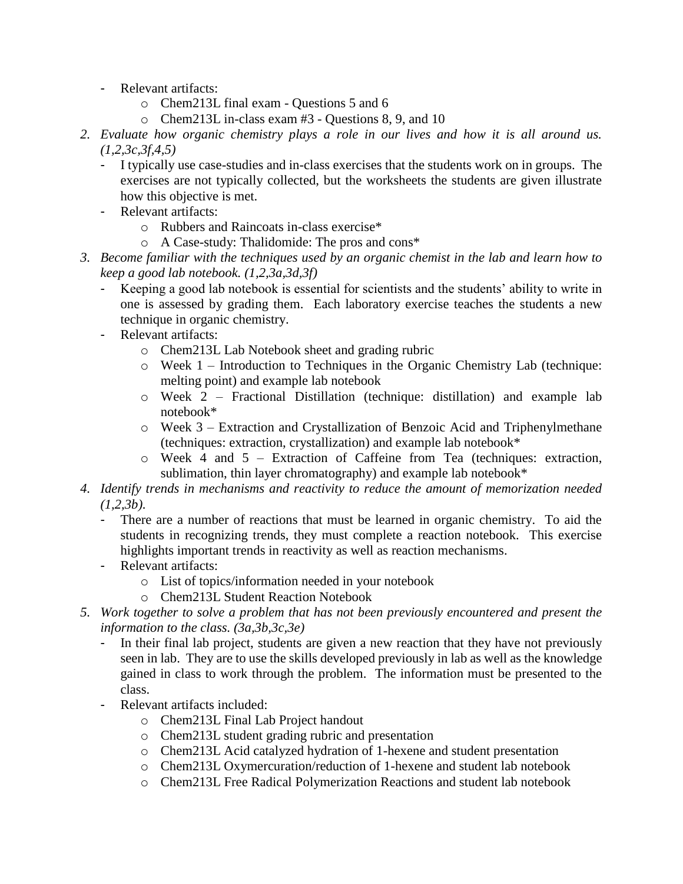- Relevant artifacts:
	- o Chem213L final exam Questions 5 and 6
	- o Chem213L in-class exam #3 Questions 8, 9, and 10
- *2. Evaluate how organic chemistry plays a role in our lives and how it is all around us. (1,2,3c,3f,4,5)*
	- I typically use case-studies and in-class exercises that the students work on in groups. The exercises are not typically collected, but the worksheets the students are given illustrate how this objective is met.
	- Relevant artifacts:
		- o Rubbers and Raincoats in-class exercise\*
		- o A Case-study: Thalidomide: The pros and cons\*
- *3. Become familiar with the techniques used by an organic chemist in the lab and learn how to keep a good lab notebook. (1,2,3a,3d,3f)*
	- Keeping a good lab notebook is essential for scientists and the students' ability to write in one is assessed by grading them. Each laboratory exercise teaches the students a new technique in organic chemistry.
	- Relevant artifacts:
		- o Chem213L Lab Notebook sheet and grading rubric
		- o Week 1 Introduction to Techniques in the Organic Chemistry Lab (technique: melting point) and example lab notebook
		- o Week 2 Fractional Distillation (technique: distillation) and example lab notebook\*
		- $\circ$  Week 3 Extraction and Crystallization of Benzoic Acid and Triphenylmethane (techniques: extraction, crystallization) and example lab notebook\*
		- o Week 4 and 5 Extraction of Caffeine from Tea (techniques: extraction, sublimation, thin layer chromatography) and example lab notebook\*
- *4. Identify trends in mechanisms and reactivity to reduce the amount of memorization needed (1,2,3b).*
	- There are a number of reactions that must be learned in organic chemistry. To aid the students in recognizing trends, they must complete a reaction notebook. This exercise highlights important trends in reactivity as well as reaction mechanisms.
	- Relevant artifacts:
		- o List of topics/information needed in your notebook
		- o Chem213L Student Reaction Notebook
- *5. Work together to solve a problem that has not been previously encountered and present the information to the class. (3a,3b,3c,3e)*
	- In their final lab project, students are given a new reaction that they have not previously seen in lab. They are to use the skills developed previously in lab as well as the knowledge gained in class to work through the problem. The information must be presented to the class.
	- Relevant artifacts included:
		- o Chem213L Final Lab Project handout
		- o Chem213L student grading rubric and presentation
		- o Chem213L Acid catalyzed hydration of 1-hexene and student presentation
		- o Chem213L Oxymercuration/reduction of 1-hexene and student lab notebook
		- o Chem213L Free Radical Polymerization Reactions and student lab notebook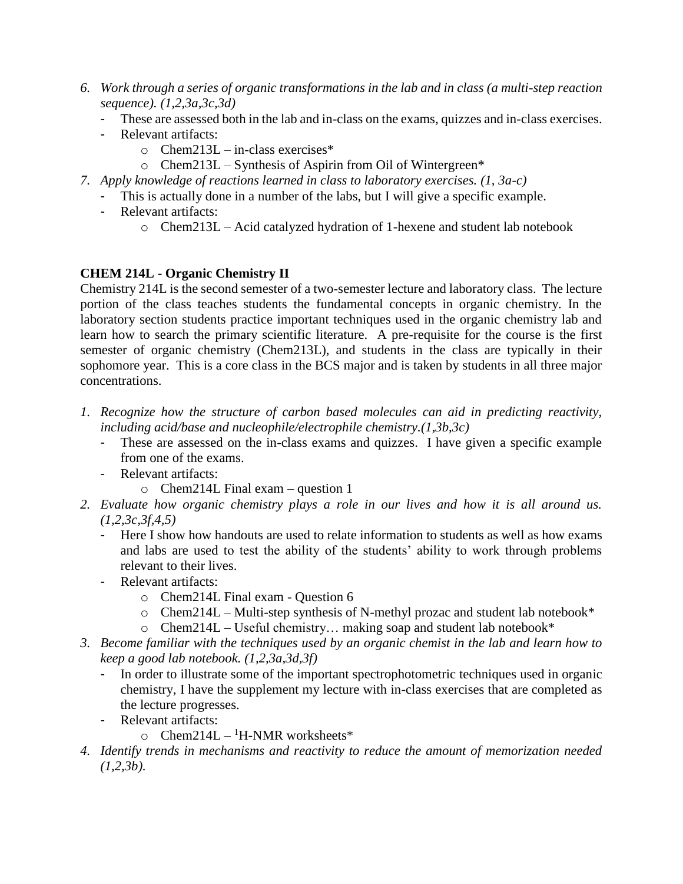- *6. Work through a series of organic transformations in the lab and in class (a multi-step reaction sequence). (1,2,3a,3c,3d)*
	- These are assessed both in the lab and in-class on the exams, quizzes and in-class exercises.
	- Relevant artifacts:
		- $\circ$  Chem213L in-class exercises\*
		- o Chem213L Synthesis of Aspirin from Oil of Wintergreen\*
- *7. Apply knowledge of reactions learned in class to laboratory exercises. (1, 3a-c)*
	- This is actually done in a number of the labs, but I will give a specific example.
	- Relevant artifacts:
		- o Chem213L Acid catalyzed hydration of 1-hexene and student lab notebook

## **CHEM 214L - Organic Chemistry II**

Chemistry 214L is the second semester of a two-semester lecture and laboratory class. The lecture portion of the class teaches students the fundamental concepts in organic chemistry. In the laboratory section students practice important techniques used in the organic chemistry lab and learn how to search the primary scientific literature. A pre-requisite for the course is the first semester of organic chemistry (Chem213L), and students in the class are typically in their sophomore year. This is a core class in the BCS major and is taken by students in all three major concentrations.

- *1. Recognize how the structure of carbon based molecules can aid in predicting reactivity, including acid/base and nucleophile/electrophile chemistry.(1,3b,3c)*
	- These are assessed on the in-class exams and quizzes. I have given a specific example from one of the exams.
	- Relevant artifacts:
		- o Chem214L Final exam question 1
- *2. Evaluate how organic chemistry plays a role in our lives and how it is all around us. (1,2,3c,3f,4,5)*
	- Here I show how handouts are used to relate information to students as well as how exams and labs are used to test the ability of the students' ability to work through problems relevant to their lives.
	- Relevant artifacts:
		- o Chem214L Final exam Question 6
		- o Chem214L Multi-step synthesis of N-methyl prozac and student lab notebook\*
		- $\circ$  Chem214L Useful chemistry... making soap and student lab notebook\*
- *3. Become familiar with the techniques used by an organic chemist in the lab and learn how to keep a good lab notebook. (1,2,3a,3d,3f)*
	- In order to illustrate some of the important spectrophotometric techniques used in organic chemistry, I have the supplement my lecture with in-class exercises that are completed as the lecture progresses.
	- Relevant artifacts:
		- $\circ$  Chem214L <sup>1</sup>H-NMR worksheets\*
- *4. Identify trends in mechanisms and reactivity to reduce the amount of memorization needed (1,2,3b).*